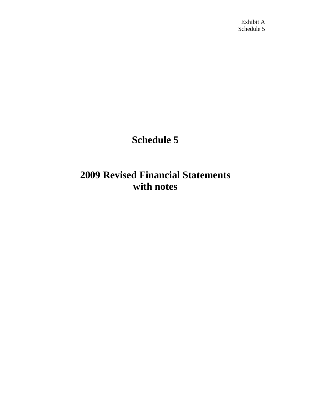# **Schedule 5**

# **2009 Revised Financial Statements with notes**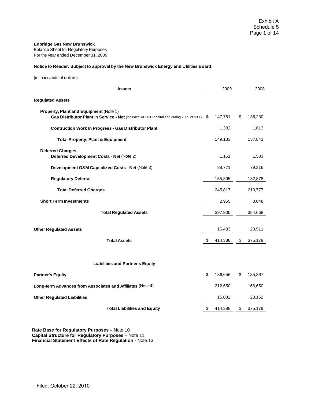#### **Notice to Reader: Subject to approval by the New Brunswick Energy and Utilities Board**

(in thousands of dollars)

| <b>Assets</b>                                                                                                                         | 2009          | 2008          |
|---------------------------------------------------------------------------------------------------------------------------------------|---------------|---------------|
| <b>Regulated Assets</b>                                                                                                               |               |               |
| Property, Plant and Equipment (Note 1)<br>Gas Distributor Plant in Service - Net (includes AFUDC capitalized during 2009 of \$33.7 \$ | 147,751       | \$<br>136,230 |
| <b>Contruction Work In Progress - Gas Distributor Plant</b>                                                                           | 1,382         | 1,613         |
| <b>Total Property, Plant &amp; Equipment</b>                                                                                          | 149,133       | 137,843       |
| <b>Deferred Charges</b><br>Deferred Development Costs - Net (Note 2)                                                                  | 1,151         | 1,583         |
| Development O&M Capitalized Costs - Net (Note 3)                                                                                      | 88,771        | 79,316        |
| <b>Regulatory Deferral</b>                                                                                                            | 155,895       | 132,878       |
| <b>Total Deferred Charges</b>                                                                                                         | 245,817       | 213,777       |
| <b>Short Term Investments</b>                                                                                                         | 2,955         | 3,048         |
| <b>Total Regulated Assets</b>                                                                                                         | 397,905       | 354,668       |
| <b>Other Regulated Assets</b>                                                                                                         | 16,483        | 20,511        |
| <b>Total Assets</b>                                                                                                                   | \$<br>414,388 | \$<br>375,179 |
| <b>Liabilities and Partner's Equity</b>                                                                                               |               |               |
| <b>Partner's Equity</b>                                                                                                               | \$<br>186,656 | \$<br>185,367 |
| Long-term Advances from Associates and Affiliates (Note 4)                                                                            | 212,650       | 166,650       |
| <b>Other Regulated Liabilities</b>                                                                                                    | 15,082        | 23,162        |
| <b>Total Liabilities and Equity</b>                                                                                                   | \$<br>414,388 | \$<br>375,179 |
|                                                                                                                                       |               |               |

**Rate Base for Regulatory Purposes –** Note 10 **Capital Structure for Regulatory Purposes** – Note 11 **Financial Statement Effects of Rate Regulation -** Note 13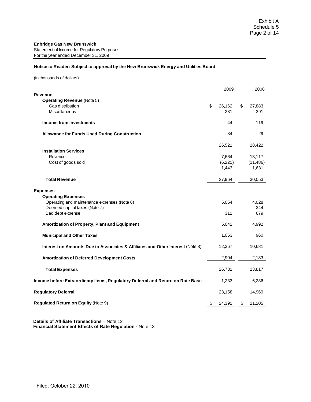#### **Notice to Reader: Subject to approval by the New Brunswick Energy and Utilities Board**

(in thousands of dollars)

|                                                                                | 2009         | 2008         |
|--------------------------------------------------------------------------------|--------------|--------------|
| Revenue                                                                        |              |              |
| <b>Operating Revenue (Note 5)</b>                                              |              |              |
| Gas distribution                                                               | \$<br>26,162 | \$<br>27,883 |
| Miscellaneous                                                                  | 281          | 391          |
| Income from Investments                                                        | 44           | 119          |
| <b>Allowance for Funds Used During Construction</b>                            | 34           | 29           |
|                                                                                | 26,521       | 28,422       |
| <b>Installation Services</b>                                                   |              |              |
| Revenue                                                                        | 7,664        | 13,117       |
| Cost of goods sold                                                             | (6,221)      | (11, 486)    |
|                                                                                | 1,443        | 1,631        |
| <b>Total Revenue</b>                                                           | 27,964       | 30,053       |
| <b>Expenses</b>                                                                |              |              |
| <b>Operating Expenses</b>                                                      |              |              |
| Operating and maintenance expenses (Note 6)                                    | 5,054        | 4,028        |
| Deemed capital taxes (Note 7)                                                  |              | 344          |
| Bad debt expense                                                               | 311          | 679          |
| Amortization of Property, Plant and Equipment                                  | 5,042        | 4,992        |
| <b>Municipal and Other Taxes</b>                                               | 1,053        | 960          |
| Interest on Amounts Due to Associates & Affiliates and Other Interest (Note 8) | 12,367       | 10,681       |
| <b>Amortization of Deferred Development Costs</b>                              | 2,904        | 2,133        |
| <b>Total Expenses</b>                                                          | 26,731       | 23,817       |
| Income before Extraordinary Items, Regulatory Deferral and Return on Rate Base | 1,233        | 6,236        |
| <b>Regulatory Deferral</b>                                                     | 23,158       | 14,969       |
| <b>Regulated Return on Equity (Note 9)</b>                                     | \$<br>24,391 | \$<br>21,205 |

 **Details of Affiliate Transactions** – Note 12  **Financial Statement Effects of Rate Regulation -** Note 13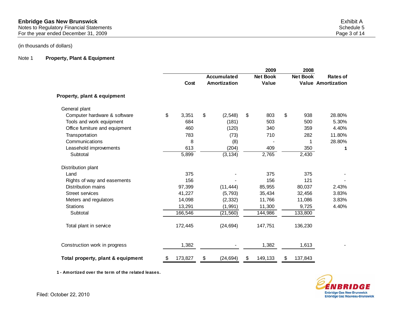Notes to Regulatory Financial Statements Schedule 5 For the year ended December 31, 2009 Page 3 of 14

# (in thousands of dollars)

## Note 1 **Property, Plant & Equipment**

|                                   |               |                    | 2009            | 2008               |                           |
|-----------------------------------|---------------|--------------------|-----------------|--------------------|---------------------------|
|                                   |               | <b>Accumulated</b> | <b>Net Book</b> | <b>Net Book</b>    | <b>Rates of</b>           |
|                                   | Cost          | Amortization       | Value           |                    | <b>Value Amortization</b> |
| Property, plant & equipment       |               |                    |                 |                    |                           |
| General plant                     |               |                    |                 |                    |                           |
| Computer hardware & software      | \$<br>3,351   | \$<br>(2, 548)     | \$<br>803       | \$<br>938          | 28.80%                    |
| Tools and work equipment          | 684           | (181)              | 503             | 500                | 5.30%                     |
| Office furniture and equipment    | 460           | (120)              | 340             | 359                | 4.40%                     |
| Transportation                    | 783           | (73)               | 710             | 282                | 11.80%                    |
| Communications                    | 8             | (8)                |                 | 1                  | 28.80%                    |
| Leasehold improvements            | 613           | (204)              | 409             | 350                | 1                         |
| Subtotal                          | 5,899         | (3, 134)           | 2,765           | $\overline{2},430$ |                           |
| Distribution plant                |               |                    |                 |                    |                           |
| Land                              | 375           |                    | 375             | 375                |                           |
| Rights of way and easements       | 156           |                    | 156             | 121                |                           |
| <b>Distribution mains</b>         | 97,399        | (11, 444)          | 85,955          | 80,037             | 2.43%                     |
| <b>Street services</b>            | 41,227        | (5, 793)           | 35,434          | 32,456             | 3.83%                     |
| Meters and regulators             | 14,098        | (2, 332)           | 11,766          | 11,086             | 3.83%                     |
| <b>Stations</b>                   | 13,291        | (1, 991)           | 11,300          | 9,725              | 4.40%                     |
| Subtotal                          | 166,546       | (21, 560)          | 144,986         | 133,800            |                           |
| Total plant in service            | 172,445       | (24, 694)          | 147,751         | 136,230            |                           |
| Construction work in progress     | 1,382         |                    | 1,382           | 1,613              |                           |
| Total property, plant & equipment | \$<br>173,827 | \$<br>(24, 694)    | \$<br>149,133   | \$<br>137,843      |                           |

**1 - Amortized over the term of the related leases.**

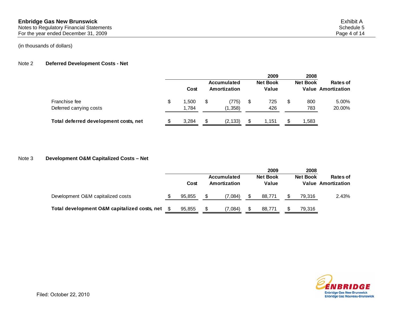# Note 2 **Deferred Development Costs - Net**

|                                          |                     |   |                             |    | 2009                     |   | 2008            |                                       |
|------------------------------------------|---------------------|---|-----------------------------|----|--------------------------|---|-----------------|---------------------------------------|
|                                          | Cost                |   | Accumulated<br>Amortization |    | <b>Net Book</b><br>Value |   | <b>Net Book</b> | Rates of<br><b>Value Amortization</b> |
| Franchise fee<br>Deferred carrying costs | \$<br>.500<br>1.784 | S | (775)<br>(1,358)            | \$ | 725<br>426               | S | 800<br>783      | 5.00%<br>20.00%                       |
| Total deferred development costs, net    | 3.284               | S | (2, 133)                    | S  | 1,151                    |   | 1,583           |                                       |

## Note 3 **Development O&M Capitalized Costs – Net**

|                                                 |        |                             |     | 2009                     |                 | 2008   |                                       |
|-------------------------------------------------|--------|-----------------------------|-----|--------------------------|-----------------|--------|---------------------------------------|
|                                                 | Cost   | Accumulated<br>Amortization |     | <b>Net Book</b><br>Value | <b>Net Book</b> |        | Rates of<br><b>Value Amortization</b> |
| Development O&M capitalized costs               | 95.855 | (7.084)                     | \$. | 88.771                   |                 | 79.316 | 2.43%                                 |
| Total development O&M capitalized costs, net \$ | 95.855 | (7.084)                     | -S  | 88.771                   |                 | 79.316 |                                       |

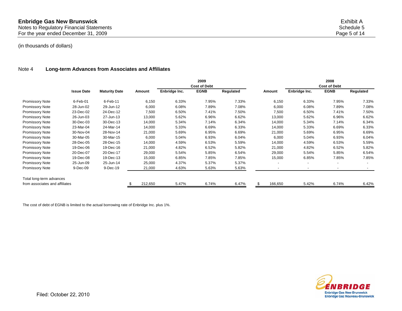#### Note 4 **Long-term Advances from Associates and Affiliates**

|                                |                   |                      |         |               | 2009                |           |                          |                          | 2008                |           |
|--------------------------------|-------------------|----------------------|---------|---------------|---------------------|-----------|--------------------------|--------------------------|---------------------|-----------|
|                                |                   |                      |         |               | <b>Cost of Debt</b> |           |                          |                          | <b>Cost of Debt</b> |           |
|                                | <b>Issue Date</b> | <b>Maturity Date</b> | Amount  | Enbridge Inc. | <b>EGNB</b>         | Regulated | Amount                   | Enbridge Inc.            | <b>EGNB</b>         | Regulated |
| <b>Promissory Note</b>         | 6-Feb-01          | 6-Feb-11             | 6,150   | 6.33%         | 7.95%               | 7.33%     | 6,150                    | 6.33%                    | 7.95%               | 7.33%     |
| <b>Promissory Note</b>         | 28-Jun-02         | 29-Jun-12            | 6,000   | 6.08%         | 7.89%               | 7.08%     | 6,000                    | 6.08%                    | 7.89%               | 7.08%     |
| <b>Promissory Note</b>         | 23-Dec-02         | 24-Dec-12            | 7,500   | 6.50%         | 7.41%               | 7.50%     | 7,500                    | 6.50%                    | 7.41%               | 7.50%     |
| <b>Promissory Note</b>         | 26-Jun-03         | 27-Jun-13            | 13,000  | 5.62%         | 6.96%               | 6.62%     | 13,000                   | 5.62%                    | 6.96%               | 6.62%     |
| Promissory Note                | 30-Dec-03         | 30-Dec-13            | 14,000  | 5.34%         | 7.14%               | 6.34%     | 14,000                   | 5.34%                    | 7.14%               | 6.34%     |
| <b>Promissory Note</b>         | 23-Mar-04         | 24-Mar-14            | 14,000  | 5.33%         | 6.69%               | 6.33%     | 14,000                   | 5.33%                    | 6.69%               | 6.33%     |
| <b>Promissory Note</b>         | 30-Nov-04         | 28-Nov-14            | 21,000  | 5.69%         | 6.95%               | 6.69%     | 21,000                   | 5.69%                    | 6.95%               | 6.69%     |
| <b>Promissory Note</b>         | 30-Mar-05         | 30-Mar-15            | 6,000   | 5.04%         | 6.93%               | 6.04%     | 6,000                    | 5.04%                    | 6.93%               | 6.04%     |
| Promissory Note                | 28-Dec-05         | 28-Dec-15            | 14,000  | 4.59%         | 6.53%               | 5.59%     | 14,000                   | 4.59%                    | 6.53%               | 5.59%     |
| <b>Promissory Note</b>         | 19-Dec-06         | 19-Dec-16            | 21,000  | 4.82%         | 6.52%               | 5.82%     | 21,000                   | 4.82%                    | 6.52%               | 5.82%     |
| <b>Promissory Note</b>         | 20-Dec-07         | 20-Dec-17            | 29,000  | 5.54%         | 5.85%               | 6.54%     | 29,000                   | 5.54%                    | 5.85%               | 6.54%     |
| Promissory Note                | 19-Dec-08         | 19-Dec-13            | 15,000  | 6.85%         | 7.85%               | 7.85%     | 15,000                   | 6.85%                    | 7.85%               | 7.85%     |
| <b>Promissory Note</b>         | 25-Jun-09         | 25-Jun-14            | 25,000  | 4.37%         | 5.37%               | 5.37%     | $\overline{\phantom{a}}$ | $\overline{\phantom{a}}$ |                     |           |
| <b>Promissory Note</b>         | 9-Dec-09          | 9-Dec-19             | 21,000  | 4.63%         | 5.63%               | 5.63%     |                          | $\overline{\phantom{a}}$ |                     |           |
| Total long-term advances       |                   |                      |         |               |                     |           |                          |                          |                     |           |
| from associates and affiliates |                   |                      | 212,650 | 5.47%         | 6.74%               | 6.47%     | 166,650                  | 5.42%                    | 6.74%               | 6.42%     |

The cost of debt of EGNB is limited to the actual borrowing rate of Enbridge Inc. plus 1%.

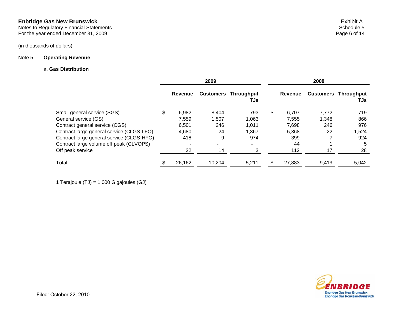## Note 5 **Operating Revenue**

#### a**. Gas Distribution**

|                                           |             | 2009                     |                                     |             | 2008  |                                    |
|-------------------------------------------|-------------|--------------------------|-------------------------------------|-------------|-------|------------------------------------|
|                                           | Revenue     |                          | <b>Customers Throughput</b><br>TJsl | Revenue     |       | <b>Customers Throughput</b><br>TJs |
| Small general service (SGS)               | \$<br>6.982 | 8.404                    | 793                                 | \$<br>6,707 | 7.772 | 719                                |
| General service (GS)                      | 7.559       | 1.507                    | 1,063                               | 7,555       | 1,348 | 866                                |
| Contract general service (CGS)            | 6,501       | 246                      | 1,011                               | 7,698       | 246   | 976                                |
| Contract large general service (CLGS-LFO) | 4,680       | 24                       | 1,367                               | 5.368       | 22    | 824,⊧                              |
| Contract large general service (CLGS-HFO) | 418         | 9                        | 974                                 | 399         |       | 924                                |
| Contract large volume off peak (CLVOPS)   |             | $\overline{\phantom{a}}$ |                                     | 44          |       | 5                                  |
| Off peak service                          | 22          | 14                       | 3                                   | 112         | 17    | 28                                 |
| Total                                     | 26,162      | 10,204                   | 5,211                               | 27,883      | 9,413 | 5,042                              |

1 Terajoule (TJ) = 1,000 Gigajoules (GJ)

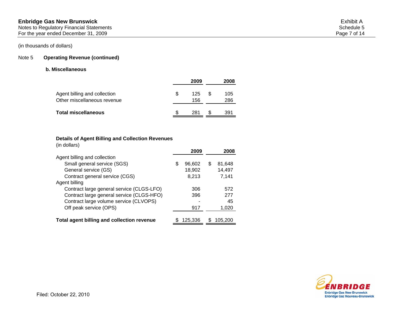# Note 5 **Operating Revenue (continued)**

### **b. Miscellaneous**

|                                                             |   | 2009       |     | 2008       |
|-------------------------------------------------------------|---|------------|-----|------------|
| Agent billing and collection<br>Other miscellaneous revenue | S | 125<br>156 | \$. | 105<br>286 |
| <b>Total miscellaneous</b>                                  |   | 281        |     | 391        |

### **Details of Agent Billing and Collection Revenues**

(in dollars)

|                                            |   | 2009    |   | 2008    |
|--------------------------------------------|---|---------|---|---------|
| Agent billing and collection               |   |         |   |         |
| Small general service (SGS)                | S | 96,602  | S | 81,648  |
| General service (GS)                       |   | 18,902  |   | 14,497  |
| Contract general service (CGS)             |   | 8,213   |   | 7,141   |
| Agent billing                              |   |         |   |         |
| Contract large general service (CLGS-LFO)  |   | 306     |   | 572     |
| Contract large general service (CLGS-HFO)  |   | 396     |   | 277     |
| Contract large volume service (CLVOPS)     |   |         |   | 45      |
| Off peak service (OPS)                     |   | 917     |   | 1,020   |
|                                            |   |         |   |         |
| Total agent billing and collection revenue |   | 125,336 |   | 105,200 |

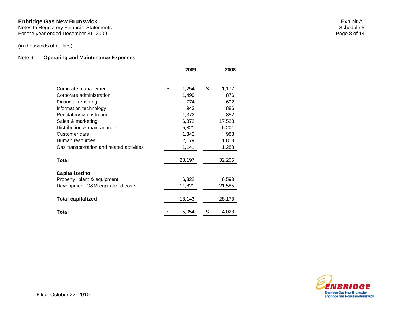Notes to Regulatory Financial Statements Schedule 5 For the year ended December 31, 2009 Page 8 of 14

(in thousands of dollars)

# Note 6 **Operating and Maintenance Expenses**

|                                           | 2009        | 2008        |
|-------------------------------------------|-------------|-------------|
| Corporate management                      | \$<br>1,254 | \$<br>1,177 |
| Corporate administration                  | 1,499       | 876         |
| Financial reporting                       | 774         | 602         |
| Information technology                    | 943         | 886         |
| Regulatory & upstream                     | 1,372       | 852         |
| Sales & marketing                         | 6,872       | 17,528      |
| Distribution & maintanance                | 5,821       | 6,201       |
| Customer care                             | 1,342       | 983         |
| Human resources                           | 2,179       | 1,813       |
| Gas transportation and related activities | 1,141       | 1,288       |
| Total                                     | 23,197      | 32,206      |
| Capitalized to:                           |             |             |
| Property, plant & equipment               | 6,322       | 6,593       |
| Development O&M capitalized costs         | 11,821      | 21,585      |
| <b>Total capitalized</b>                  | 18,143      | 28,178      |
| Total                                     | \$<br>5,054 | \$<br>4,028 |

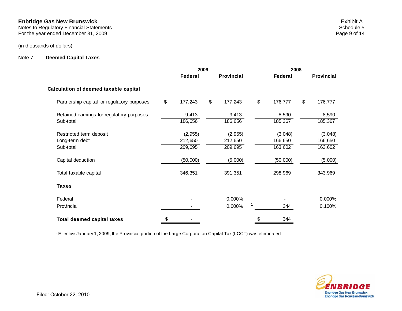# Note 7 **Deemed Capital Taxes**

|                                             | 2009 |          |    |                   |   | 2008 |          |               |                   |  |  |
|---------------------------------------------|------|----------|----|-------------------|---|------|----------|---------------|-------------------|--|--|
|                                             |      | Federal  |    | <b>Provincial</b> |   |      | Federal  |               | <b>Provincial</b> |  |  |
| Calculation of deemed taxable capital       |      |          |    |                   |   |      |          |               |                   |  |  |
| Partnership capital for regulatory purposes | \$   | 177,243  | \$ | 177,243           |   | \$   | 176,777  | $\frac{1}{2}$ | 176,777           |  |  |
| Retained earnings for regulatory purposes   |      | 9,413    |    | 9,413             |   |      | 8,590    |               | 8,590             |  |  |
| Sub-total                                   |      | 186,656  |    | 186,656           |   |      | 185,367  |               | 185,367           |  |  |
| Restricted term deposit                     |      | (2, 955) |    | (2, 955)          |   |      | (3,048)  |               | (3,048)           |  |  |
| Long-term debt                              |      | 212,650  |    | 212,650           |   |      | 166,650  |               | 166,650           |  |  |
| Sub-total                                   |      | 209,695  |    | 209,695           |   |      | 163,602  |               | 163,602           |  |  |
| Capital deduction                           |      | (50,000) |    | (5,000)           |   |      | (50,000) |               | (5,000)           |  |  |
| Total taxable capital                       |      | 346,351  |    | 391,351           |   |      | 298,969  |               | 343,969           |  |  |
| <b>Taxes</b>                                |      |          |    |                   |   |      |          |               |                   |  |  |
| Federal                                     |      |          |    | 0.000%            |   |      |          |               | 0.000%            |  |  |
| Provincial                                  |      |          |    | 0.000%            | 1 |      | 344      |               | 0.100%            |  |  |
| <b>Total deemed capital taxes</b>           | \$   |          |    |                   |   | \$   | 344      |               |                   |  |  |

 $^{\text{1}}$  - Effective January 1, 2009, the Provincial portion of the Large Corporation Capital Tax (LCCT) was eliminated

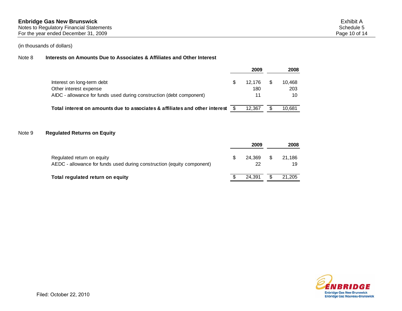#### Note 8 **Interests on Amounts Due to Associates & Affiliates and Other Interest**

|                                                                                                |   | 2009      | 2008      |
|------------------------------------------------------------------------------------------------|---|-----------|-----------|
| Interest on long-term debt                                                                     | S | 12.176    | 10.468    |
| Other interest expense<br>AIDC - allowance for funds used during construction (debt component) |   | 180<br>11 | 203<br>10 |
| Total interest on amounts due to associates & affiliates and other interest \$                 |   | 12.367    | 10.681    |

#### Note 9 **Regulated Returns on Equity**

|                                                                                                      | 2009              | 2008         |
|------------------------------------------------------------------------------------------------------|-------------------|--------------|
| Regulated return on equity<br>AEDC - allowance for funds used during construction (equity component) | $24,369$ \$<br>22 | 21.186<br>19 |
| Total regulated return on equity                                                                     | 24.391            | \$<br>21,205 |

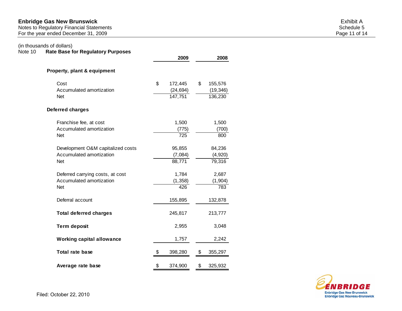#### Notes to Regulatory Financial Statements Schedule 5 For the year ended December 31, 2009 **Page 11** of 14

# (in thousands of dollars)<br>Note 10 Rate Base fo

| Note 10 | <b>Rate Base for Regulatory Purposes</b>                                    | 2009                                  | 2008                                  |  |
|---------|-----------------------------------------------------------------------------|---------------------------------------|---------------------------------------|--|
|         | Property, plant & equipment                                                 |                                       |                                       |  |
|         | Cost<br>Accumulated amortization<br><b>Net</b>                              | \$<br>172,445<br>(24, 694)<br>147,751 | \$<br>155,576<br>(19, 346)<br>136,230 |  |
|         | <b>Deferred charges</b>                                                     |                                       |                                       |  |
|         | Franchise fee, at cost<br>Accumulated amortization<br><b>Net</b>            | 1,500<br>(775)<br>$\overline{725}$    | 1,500<br>(700)<br>800                 |  |
|         | Development O&M capitalized costs<br>Accumulated amortization<br><b>Net</b> | 95,855<br>(7,084)<br>88,771           | 84,236<br>(4,920)<br>79,316           |  |
|         | Deferred carrying costs, at cost<br>Accumulated amortization<br><b>Net</b>  | 1,784<br>(1, 358)<br>426              | 2,687<br>(1, 904)<br>$\overline{783}$ |  |
|         | Deferral account                                                            | 155,895                               | 132,878                               |  |
|         | <b>Total deferred charges</b>                                               | 245,817                               | 213,777                               |  |
|         | <b>Term deposit</b>                                                         | 2,955                                 | 3,048                                 |  |
|         | <b>Working capital allowance</b>                                            | 1,757                                 | 2,242                                 |  |
|         | <b>Total rate base</b>                                                      | \$<br>398,280                         | \$<br>355,297                         |  |
|         | Average rate base                                                           | \$<br>374,900                         | \$<br>325,932                         |  |
|         |                                                                             |                                       |                                       |  |

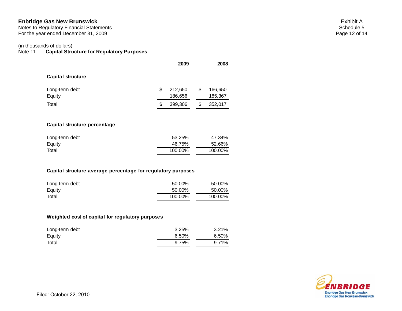Notes to Regulatory Financial Statements Schedule 5 For the year ended December 31, 2009 Page 12 of 14

# (in thousands of dollars)

# Note 11 **Capital Structure for Regulatory Purposes**

|                                   | 2009                        | 2008                        |
|-----------------------------------|-----------------------------|-----------------------------|
| <b>Capital structure</b>          |                             |                             |
| Long-term debt<br>Equity          | \$<br>212,650<br>186,656    | \$<br>166,650<br>185,367    |
| Total                             | \$<br>399,306               | \$<br>352,017               |
| Capital structure percentage      |                             |                             |
| Long-term debt<br>Equity<br>Total | 53.25%<br>46.75%<br>100.00% | 47.34%<br>52.66%<br>100.00% |

### **Capital structure average percentage for regulatory purposes**

| Long-term debt | 50.00%  | 50.00%  |
|----------------|---------|---------|
| Equity         | 50.00%  | 50.00%  |
| Total          | 100.00% | 100.00% |

#### **Weighted cost of capital for regulatory purposes**

| Long-term debt | 3.25% | 3.21% |
|----------------|-------|-------|
| Equity         | 6.50% | 6.50% |
| Total          | 9.75% | 9.71% |

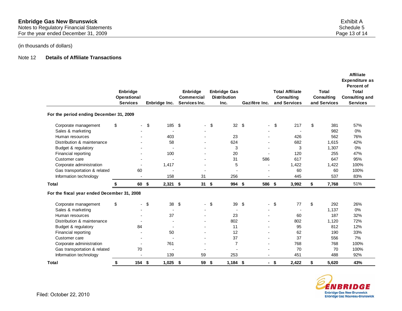# Note 12 **Details of Affiliate Transactions**

|                                             |                                                   |               |                                         |                                                    |                          |                                                             |                                                   | <b>Affiliate</b><br><b>Expenditure as</b>                                     |
|---------------------------------------------|---------------------------------------------------|---------------|-----------------------------------------|----------------------------------------------------|--------------------------|-------------------------------------------------------------|---------------------------------------------------|-------------------------------------------------------------------------------|
|                                             | Enbridge<br><b>Operational</b><br><b>Services</b> | Enbridge Inc. | Enbridge<br>Commercial<br>Services Inc. | <b>Enbridge Gas</b><br><b>Distribution</b><br>Inc. | Gazifère Inc.            | <b>Total Affiliate</b><br><b>Consulting</b><br>and Services | <b>Total</b><br><b>Consulting</b><br>and Services | <b>Percent of</b><br><b>Total</b><br><b>Consulting and</b><br><b>Services</b> |
| For the period ending December 31, 2009     |                                                   |               |                                         |                                                    |                          |                                                             |                                                   |                                                                               |
| Corporate management                        | \$                                                | \$<br>185 \$  |                                         | \$<br>32S                                          | $\sim$                   | \$<br>217                                                   | \$<br>381                                         | 57%                                                                           |
| Sales & marketing                           |                                                   |               |                                         |                                                    |                          |                                                             | 982                                               | $0\%$                                                                         |
| Human resources                             |                                                   | 403           |                                         | 23                                                 |                          | 426                                                         | 562                                               | 76%                                                                           |
| Distribution & maintenance                  |                                                   | 58            |                                         | 624                                                |                          | 682                                                         | 1,615                                             | 42%                                                                           |
| Budget & regulatory                         |                                                   |               |                                         | 3                                                  |                          | 3                                                           | 1,307                                             | 0%                                                                            |
| Financial reporting                         |                                                   | 100           |                                         | 20                                                 | $\overline{\phantom{0}}$ | 120                                                         | 255                                               | 47%                                                                           |
| Customer care                               |                                                   |               |                                         | 31                                                 | 586                      | 617                                                         | 647                                               | 95%                                                                           |
| Corporate administration                    |                                                   | 1,417         |                                         | 5                                                  |                          | 1,422                                                       | 1,422                                             | 100%                                                                          |
| Gas transportation & related                | 60                                                |               |                                         |                                                    |                          | 60                                                          | 60                                                | 100%                                                                          |
| Information technology                      |                                                   | 158           | 31                                      | 256                                                |                          | 445                                                         | 537                                               | 83%                                                                           |
| <b>Total</b>                                | 60 \$                                             | $2,321$ \$    | $31 \quad $$                            | 994 \$                                             | 586 \$                   | 3,992                                                       | \$<br>7,768                                       | 51%                                                                           |
| For the fiscal year ended December 31, 2008 |                                                   |               |                                         |                                                    |                          |                                                             |                                                   |                                                                               |
| Corporate management                        | \$                                                | \$<br>38      | \$                                      | \$<br>39                                           | \$<br>- \$               | 77                                                          | \$<br>292                                         | 26%                                                                           |
| Sales & marketing                           |                                                   |               |                                         |                                                    |                          |                                                             | 1,137                                             | 0%                                                                            |
| Human resources                             |                                                   | 37            |                                         | 23                                                 |                          | 60                                                          | 187                                               | 32%                                                                           |
| Distribution & maintenance                  |                                                   |               |                                         | 802                                                |                          | 802                                                         | 1,120                                             | 72%                                                                           |
| Budget & regulatory                         | 84                                                |               |                                         | 11                                                 |                          | 95                                                          | 812                                               | 12%                                                                           |
| Financial reporting                         |                                                   | 50            |                                         | 12                                                 |                          | 62                                                          | 190                                               | 33%                                                                           |
| Customer care                               |                                                   |               |                                         | 37                                                 | $\blacksquare$           | 37                                                          | 556                                               | 7%                                                                            |
| Corporate administration                    |                                                   | 761           |                                         | $\overline{7}$                                     |                          | 768                                                         | 768                                               | 100%                                                                          |
| Gas transportation & related                | 70                                                |               |                                         | $\overline{\phantom{0}}$                           |                          | 70                                                          | 70                                                | 100%                                                                          |
| Information technology                      | $\overline{a}$                                    | 139           | 59                                      | 253                                                | $\blacksquare$           | 451                                                         | 488                                               | 92%                                                                           |
| Total                                       | \$<br>154                                         | \$<br>1,025   | \$<br>59 \$                             | $1,184$ \$                                         | - \$                     | 2,422                                                       | \$<br>5,620                                       | 43%                                                                           |